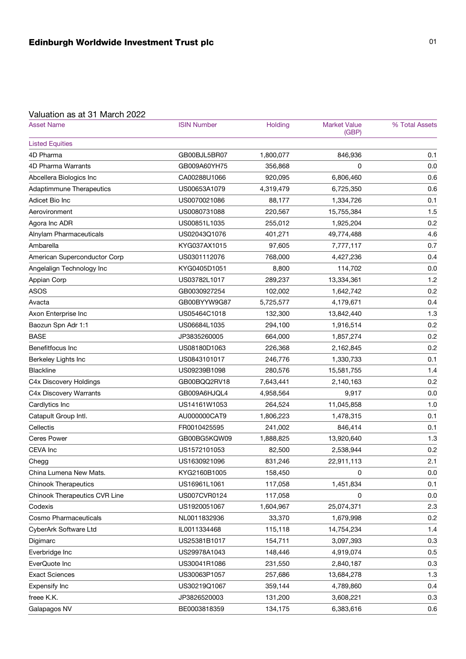## Valuation as at 31 March 2022

| <b>Asset Name</b>             | <b>ISIN Number</b> | Holding   | <b>Market Value</b><br>(GBP) | % Total Assets |
|-------------------------------|--------------------|-----------|------------------------------|----------------|
| <b>Listed Equities</b>        |                    |           |                              |                |
| 4D Pharma                     | GB00BJL5BR07       | 1,800,077 | 846,936                      | 0.1            |
| 4D Pharma Warrants            | GB009A60YH75       | 356,868   | 0                            | 0.0            |
| Abcellera Biologics Inc       | CA00288U1066       | 920,095   | 6,806,460                    | 0.6            |
| Adaptimmune Therapeutics      | US00653A1079       | 4,319,479 | 6,725,350                    | 0.6            |
| Adicet Bio Inc                | US0070021086       | 88,177    | 1,334,726                    | 0.1            |
| Aerovironment                 | US0080731088       | 220,567   | 15,755,384                   | 1.5            |
| Agora Inc ADR                 | US00851L1035       | 255,012   | 1,925,204                    | 0.2            |
| Alnylam Pharmaceuticals       | US02043Q1076       | 401,271   | 49,774,488                   | 4.6            |
| Ambarella                     | KYG037AX1015       | 97,605    | 7,777,117                    | 0.7            |
| American Superconductor Corp  | US0301112076       | 768,000   | 4,427,236                    | 0.4            |
| Angelalign Technology Inc     | KYG0405D1051       | 8,800     | 114,702                      | 0.0            |
| Appian Corp                   | US03782L1017       | 289,237   | 13,334,361                   | 1.2            |
| <b>ASOS</b>                   | GB0030927254       | 102,002   | 1,642,742                    | 0.2            |
| Avacta                        | GB00BYYW9G87       | 5,725,577 | 4,179,671                    | 0.4            |
| Axon Enterprise Inc           | US05464C1018       | 132,300   | 13,842,440                   | 1.3            |
| Baozun Spn Adr 1:1            | US06684L1035       | 294,100   | 1,916,514                    | 0.2            |
| <b>BASE</b>                   | JP3835260005       | 664,000   | 1,857,274                    | 0.2            |
| Benefitfocus Inc              | US08180D1063       | 226,368   | 2,162,845                    | 0.2            |
| Berkeley Lights Inc           | US0843101017       | 246,776   | 1,330,733                    | 0.1            |
| <b>Blackline</b>              | US09239B1098       | 280,576   | 15,581,755                   | 1.4            |
| C4x Discovery Holdings        | GB00BQQ2RV18       | 7,643,441 | 2,140,163                    | 0.2            |
| C4x Discovery Warrants        | GB009A6HJQL4       | 4,958,564 | 9,917                        | 0.0            |
| Cardlytics Inc                | US14161W1053       | 264,524   | 11,045,858                   | 1.0            |
| Catapult Group Intl.          | AU000000CAT9       | 1,806,223 | 1,478,315                    | 0.1            |
| Cellectis                     | FR0010425595       | 241,002   | 846,414                      | 0.1            |
| <b>Ceres Power</b>            | GB00BG5KQW09       | 1,888,825 | 13,920,640                   | 1.3            |
| CEVA Inc                      | US1572101053       | 82,500    | 2,538,944                    | 0.2            |
| Chegg                         | US1630921096       | 831,246   | 22,911,113                   | 2.1            |
| China Lumena New Mats.        | KYG2160B1005       | 158,450   | 0                            | 0.0            |
| <b>Chinook Therapeutics</b>   | US16961L1061       | 117,058   | 1,451,834                    | 0.1            |
| Chinook Therapeutics CVR Line | US007CVR0124       | 117,058   | 0                            | 0.0            |
| Codexis                       | US1920051067       | 1,604,967 | 25,074,371                   | 2.3            |
| Cosmo Pharmaceuticals         | NL0011832936       | 33,370    | 1,679,998                    | 0.2            |
| CyberArk Software Ltd         | IL0011334468       | 115,118   | 14,754,234                   | 1.4            |
| Digimarc                      | US25381B1017       | 154,711   | 3,097,393                    | 0.3            |
| Everbridge Inc                | US29978A1043       | 148,446   | 4,919,074                    | 0.5            |
| EverQuote Inc                 | US30041R1086       | 231,550   | 2,840,187                    | 0.3            |
| <b>Exact Sciences</b>         | US30063P1057       | 257,686   | 13,684,278                   | 1.3            |
| Expensify Inc                 | US30219Q1067       | 359,144   | 4,789,860                    | 0.4            |
| freee K.K.                    | JP3826520003       | 131,200   | 3,608,221                    | 0.3            |
| Galapagos NV                  | BE0003818359       | 134,175   | 6,383,616                    | 0.6            |
|                               |                    |           |                              |                |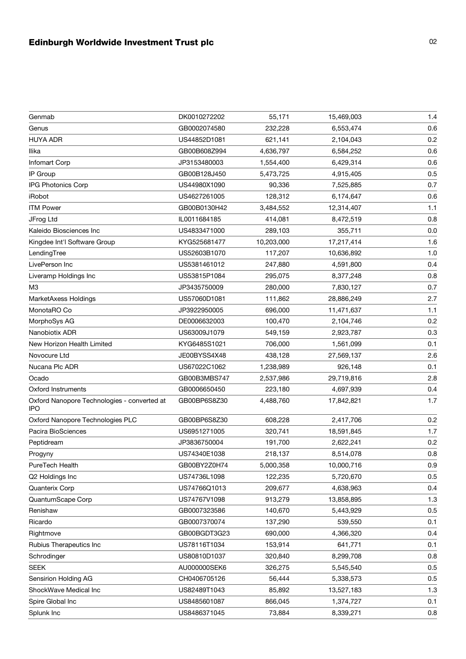## Edinburgh Worldwide Investment Trust plc 02 02

| Genmab                                                    | DK0010272202 | 55,171     | 15,469,003 | 1.4 |
|-----------------------------------------------------------|--------------|------------|------------|-----|
| Genus                                                     | GB0002074580 | 232,228    | 6,553,474  | 0.6 |
| <b>HUYA ADR</b>                                           | US44852D1081 | 621,141    | 2,104,043  | 0.2 |
| Ilika                                                     | GB00B608Z994 | 4,636,797  | 6,584,252  | 0.6 |
| Infomart Corp                                             | JP3153480003 | 1,554,400  | 6,429,314  | 0.6 |
| IP Group                                                  | GB00B128J450 | 5,473,725  | 4,915,405  | 0.5 |
| IPG Photonics Corp                                        | US44980X1090 | 90,336     | 7,525,885  | 0.7 |
| iRobot                                                    | US4627261005 | 128,312    | 6,174,647  | 0.6 |
| <b>ITM Power</b>                                          | GB00B0130H42 | 3,484,552  | 12,314,407 | 1.1 |
| JFrog Ltd                                                 | IL0011684185 | 414,081    | 8,472,519  | 0.8 |
| Kaleido Biosciences Inc                                   | US4833471000 | 289,103    | 355,711    | 0.0 |
| Kingdee Int'l Software Group                              | KYG525681477 | 10,203,000 | 17,217,414 | 1.6 |
| LendingTree                                               | US52603B1070 | 117,207    | 10,636,892 | 1.0 |
| LivePerson Inc                                            | US5381461012 | 247,880    | 4,591,800  | 0.4 |
| Liveramp Holdings Inc                                     | US53815P1084 | 295,075    | 8,377,248  | 0.8 |
| M <sub>3</sub>                                            | JP3435750009 | 280,000    | 7,830,127  | 0.7 |
| MarketAxess Holdings                                      | US57060D1081 | 111,862    | 28,886,249 | 2.7 |
| MonotaRO Co                                               | JP3922950005 | 696,000    | 11,471,637 | 1.1 |
| MorphoSys AG                                              | DE0006632003 | 100,470    | 2,104,746  | 0.2 |
| Nanobiotix ADR                                            | US63009J1079 | 549,159    | 2,923,787  | 0.3 |
| New Horizon Health Limited                                | KYG6485S1021 | 706,000    | 1,561,099  | 0.1 |
| Novocure Ltd                                              | JE00BYSS4X48 | 438,128    | 27,569,137 | 2.6 |
| Nucana Plc ADR                                            | US67022C1062 | 1,238,989  | 926,148    | 0.1 |
| Ocado                                                     | GB00B3MBS747 | 2,537,986  | 29,719,816 | 2.8 |
| <b>Oxford Instruments</b>                                 | GB0006650450 | 223,180    | 4,697,939  | 0.4 |
| Oxford Nanopore Technologies - converted at<br><b>IPO</b> | GB00BP6S8Z30 | 4,488,760  | 17,842,821 | 1.7 |
| Oxford Nanopore Technologies PLC                          | GB00BP6S8Z30 | 608,228    | 2,417,706  | 0.2 |
| Pacira BioSciences                                        | US6951271005 | 320,741    | 18,591,845 | 1.7 |
| Peptidream                                                | JP3836750004 | 191,700    | 2,622,241  | 0.2 |
| Progyny                                                   | US74340E1038 | 218,137    | 8,514,078  | 0.8 |
| PureTech Health                                           | GB00BY2Z0H74 | 5,000,358  | 10,000,716 | 0.9 |
| Q2 Holdings Inc                                           | US74736L1098 | 122,235    | 5,720,670  | 0.5 |
| Quanterix Corp                                            | US74766Q1013 | 209,677    | 4,638,963  | 0.4 |
| QuantumScape Corp                                         | US74767V1098 | 913,279    | 13,858,895 | 1.3 |
| Renishaw                                                  | GB0007323586 | 140,670    | 5,443,929  | 0.5 |
| Ricardo                                                   | GB0007370074 | 137,290    | 539,550    | 0.1 |
| Rightmove                                                 | GB00BGDT3G23 | 690,000    | 4,366,320  | 0.4 |
| Rubius Therapeutics Inc                                   | US78116T1034 | 153,914    | 641,771    | 0.1 |
| Schrodinger                                               | US80810D1037 | 320,840    | 8,299,708  | 0.8 |
| <b>SEEK</b>                                               | AU000000SEK6 | 326,275    | 5,545,540  | 0.5 |
| Sensirion Holding AG                                      | CH0406705126 | 56,444     | 5,338,573  | 0.5 |
| ShockWave Medical Inc                                     | US82489T1043 | 85,892     | 13,527,183 | 1.3 |
| Spire Global Inc                                          | US8485601087 | 866,045    | 1,374,727  | 0.1 |
| Splunk Inc                                                | US8486371045 | 73,884     | 8,339,271  | 0.8 |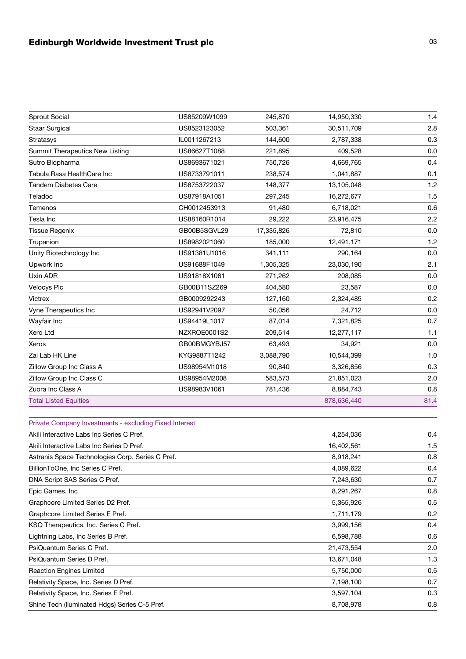## Edinburgh Worldwide Investment Trust plc 03 03

| Sprout Social                                          | US85209W1099 | 245,870    | 14,950,330  | 1.4  |
|--------------------------------------------------------|--------------|------------|-------------|------|
| <b>Staar Surgical</b>                                  | US8523123052 | 503,361    | 30,511,709  | 2.8  |
| <b>Stratasys</b>                                       | IL0011267213 | 144,600    | 2,787,338   | 0.3  |
| Summit Therapeutics New Listing                        | US86627T1088 | 221,895    | 409,528     | 0.0  |
| Sutro Biopharma                                        | US8693671021 | 750,726    | 4,669,765   | 0.4  |
| Tabula Rasa HealthCare Inc                             | US8733791011 | 238,574    | 1,041,887   | 0.1  |
| <b>Tandem Diabetes Care</b>                            | US8753722037 | 148,377    | 13,105,048  | 1.2  |
| Teladoc                                                | US87918A1051 | 297,245    | 16,272,677  | 1.5  |
| Temenos                                                | CH0012453913 | 91,480     | 6,718,021   | 0.6  |
| Tesla Inc                                              | US88160R1014 | 29,222     | 23,916,475  | 2.2  |
| <b>Tissue Regenix</b>                                  | GB00B5SGVL29 | 17,335,826 | 72,810      | 0.0  |
| Trupanion                                              | US8982021060 | 185,000    | 12,491,171  | 1.2  |
| Unity Biotechnology Inc                                | US91381U1016 | 341,111    | 290,164     | 0.0  |
| Upwork Inc                                             | US91688F1049 | 1,305,325  | 23,030,190  | 2.1  |
| Uxin ADR                                               | US91818X1081 | 271,262    | 208,085     | 0.0  |
| <b>Velocys Plc</b>                                     | GB00B11SZ269 | 404,580    | 23,587      | 0.0  |
| Victrex                                                | GB0009292243 | 127,160    | 2,324,485   | 0.2  |
| Vyne Therapeutics Inc                                  | US92941V2097 | 50,056     | 24,712      | 0.0  |
| Wayfair Inc                                            | US94419L1017 | 87,014     | 7,321,825   | 0.7  |
| Xero Ltd                                               | NZXROE0001S2 | 209,514    | 12,277,117  | 1.1  |
| Xeros                                                  | GB00BMGYBJ57 | 63,493     | 34,921      | 0.0  |
| Zai Lab HK Line                                        | KYG9887T1242 | 3,088,790  | 10,544,399  | 1.0  |
| Zillow Group Inc Class A                               | US98954M1018 | 90,840     | 3,326,856   | 0.3  |
| Zillow Group Inc Class C                               | US98954M2008 | 583,573    | 21,851,023  | 2.0  |
| Zuora Inc Class A                                      | US98983V1061 | 781,436    | 8,884,743   | 0.8  |
| <b>Total Listed Equities</b>                           |              |            | 878,636,440 | 81.4 |
| Private Company Investments - excluding Fixed Interest |              |            |             |      |
| Akili Interactive Labs Inc Series C Pref.              |              |            | 4,254,036   | 0.4  |
| Akili Interactive Labs Inc Series D Pref.              |              |            | 16,402,561  | 1.5  |
| Astranis Space Technologies Corp. Series C Pref.       |              |            | 8,918,241   | 0.8  |
| BillionToOne, Inc Series C Pref.                       |              |            | 4,089,622   | 0.4  |
| DNA Script SAS Series C Pref.                          |              |            | 7,243,630   | 0.7  |
| Epic Games, Inc                                        |              |            | 8,291,267   | 0.8  |
| Graphcore Limited Series D2 Pref.                      |              |            | 5,365,926   | 0.5  |
| Graphcore Limited Series E Pref.                       |              |            | 1,711,179   | 0.2  |
| KSQ Therapeutics, Inc. Series C Pref.                  |              |            | 3,999,156   | 0.4  |
| Lightning Labs, Inc Series B Pref.                     |              |            | 6,598,788   | 0.6  |
| PsiQuantum Series C Pref.                              |              |            | 21,473,554  | 2.0  |
| PsiQuantum Series D Pref.                              |              |            | 13,671,048  | 1.3  |
| <b>Reaction Engines Limited</b>                        |              |            | 5,750,000   | 0.5  |
| Relativity Space, Inc. Series D Pref.                  |              |            | 7,198,100   | 0.7  |
| Relativity Space, Inc. Series E Pref.                  |              |            | 3,597,104   | 0.3  |
| Shine Tech (Iluminated Hdgs) Series C-5 Pref.          |              |            | 8,708,978   | 0.8  |
|                                                        |              |            |             |      |